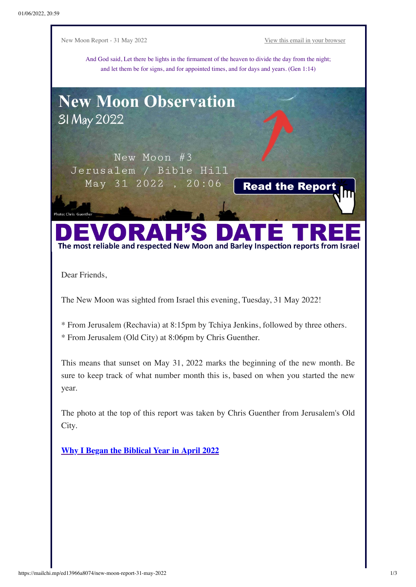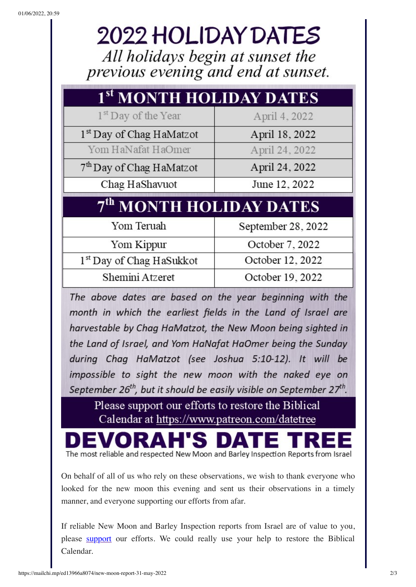## 2022 HOLIDAY DATES

All holidays begin at sunset the previous evening and end at sunset.

| 1 <sup>st</sup> MONTH HOLIDAY DATES  |                    |
|--------------------------------------|--------------------|
| 1 <sup>st</sup> Day of the Year      | April 4, 2022      |
| 1 <sup>st</sup> Day of Chag HaMatzot | April 18, 2022     |
| Yom HaNafat HaOmer                   | April 24, 2022     |
| 7 <sup>th</sup> Day of Chag HaMatzot | April 24, 2022     |
| Chag HaShavuot                       | June 12, 2022      |
|                                      |                    |
| 7 <sup>th</sup> MONTH HOLIDAY DATES  |                    |
| Yom Teruah                           | September 28, 2022 |
| Yom Kippur                           | October 7, 2022    |
| 1st Day of Chag HaSukkot             | October 12, 2022   |

The above dates are based on the year beginning with the month in which the earliest fields in the Land of Israel are harvestable by Chag HaMatzot, the New Moon being sighted in the Land of Israel, and Yom HaNafat HaOmer being the Sunday during Chaq HaMatzot (see Joshua 5:10-12). It will be impossible to sight the new moon with the naked eye on September 26<sup>th</sup>, but it should be easily visible on September 27<sup>th</sup>.

Please support our efforts to restore the Biblical Calendar at https://www.patreon.com/datetree

The most reliable and respected New Moon and Barley Inspection Reports from Israel

On behalf of all of us who rely on these observations, we wish to thank everyone who looked for the new moon this evening and sent us their observations in a timely manner, and everyone supporting our efforts from afar.

If reliable New Moon and Barley Inspection reports from Israel are of value to you, please **[support](https://www.patreon.com/datetree)** our efforts. We could really use your help to restore the Biblical Calendar.